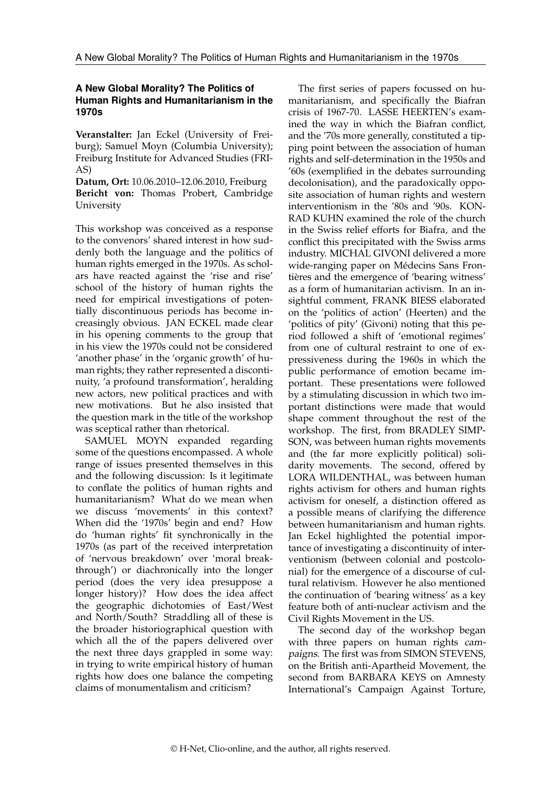## **A New Global Morality? The Politics of Human Rights and Humanitarianism in the 1970s**

**Veranstalter:** Jan Eckel (University of Freiburg); Samuel Moyn (Columbia University); Freiburg Institute for Advanced Studies (FRI-AS)

**Datum, Ort:** 10.06.2010–12.06.2010, Freiburg **Bericht von:** Thomas Probert, Cambridge University

This workshop was conceived as a response to the convenors' shared interest in how suddenly both the language and the politics of human rights emerged in the 1970s. As scholars have reacted against the 'rise and rise' school of the history of human rights the need for empirical investigations of potentially discontinuous periods has become increasingly obvious. JAN ECKEL made clear in his opening comments to the group that in his view the 1970s could not be considered 'another phase' in the 'organic growth' of human rights; they rather represented a discontinuity, 'a profound transformation', heralding new actors, new political practices and with new motivations. But he also insisted that the question mark in the title of the workshop was sceptical rather than rhetorical.

SAMUEL MOYN expanded regarding some of the questions encompassed. A whole range of issues presented themselves in this and the following discussion: Is it legitimate to conflate the politics of human rights and humanitarianism? What do we mean when we discuss 'movements' in this context? When did the '1970s' begin and end? How do 'human rights' fit synchronically in the 1970s (as part of the received interpretation of 'nervous breakdown' over 'moral breakthrough') or diachronically into the longer period (does the very idea presuppose a longer history)? How does the idea affect the geographic dichotomies of East/West and North/South? Straddling all of these is the broader historiographical question with which all the of the papers delivered over the next three days grappled in some way: in trying to write empirical history of human rights how does one balance the competing claims of monumentalism and criticism?

The first series of papers focussed on humanitarianism, and specifically the Biafran crisis of 1967-70. LASSE HEERTEN's examined the way in which the Biafran conflict, and the '70s more generally, constituted a tipping point between the association of human rights and self-determination in the 1950s and '60s (exemplified in the debates surrounding decolonisation), and the paradoxically opposite association of human rights and western interventionism in the '80s and '90s. KON-RAD KUHN examined the role of the church in the Swiss relief efforts for Biafra, and the conflict this precipitated with the Swiss arms industry. MICHAL GIVONI delivered a more wide-ranging paper on Médecins Sans Frontières and the emergence of 'bearing witness' as a form of humanitarian activism. In an insightful comment, FRANK BIESS elaborated on the 'politics of action' (Heerten) and the 'politics of pity' (Givoni) noting that this period followed a shift of 'emotional regimes' from one of cultural restraint to one of expressiveness during the 1960s in which the public performance of emotion became important. These presentations were followed by a stimulating discussion in which two important distinctions were made that would shape comment throughout the rest of the workshop. The first, from BRADLEY SIMP-SON, was between human rights movements and (the far more explicitly political) solidarity movements. The second, offered by LORA WILDENTHAL, was between human rights activism for others and human rights activism for oneself, a distinction offered as a possible means of clarifying the difference between humanitarianism and human rights. Jan Eckel highlighted the potential importance of investigating a discontinuity of interventionism (between colonial and postcolonial) for the emergence of a discourse of cultural relativism. However he also mentioned the continuation of 'bearing witness' as a key feature both of anti-nuclear activism and the Civil Rights Movement in the US.

The second day of the workshop began with three papers on human rights campaigns. The first was from SIMON STEVENS, on the British anti-Apartheid Movement, the second from BARBARA KEYS on Amnesty International's Campaign Against Torture,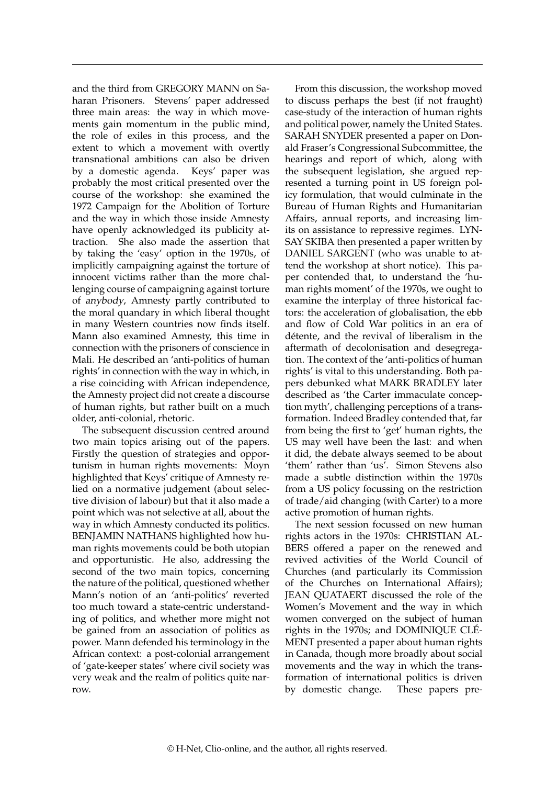and the third from GREGORY MANN on Saharan Prisoners. Stevens' paper addressed three main areas: the way in which movements gain momentum in the public mind, the role of exiles in this process, and the extent to which a movement with overtly transnational ambitions can also be driven by a domestic agenda. Keys' paper was probably the most critical presented over the course of the workshop: she examined the 1972 Campaign for the Abolition of Torture and the way in which those inside Amnesty have openly acknowledged its publicity attraction. She also made the assertion that by taking the 'easy' option in the 1970s, of implicitly campaigning against the torture of innocent victims rather than the more challenging course of campaigning against torture of anybody, Amnesty partly contributed to the moral quandary in which liberal thought in many Western countries now finds itself. Mann also examined Amnesty, this time in connection with the prisoners of conscience in Mali. He described an 'anti-politics of human rights' in connection with the way in which, in a rise coinciding with African independence, the Amnesty project did not create a discourse of human rights, but rather built on a much older, anti-colonial, rhetoric.

The subsequent discussion centred around two main topics arising out of the papers. Firstly the question of strategies and opportunism in human rights movements: Moyn highlighted that Keys' critique of Amnesty relied on a normative judgement (about selective division of labour) but that it also made a point which was not selective at all, about the way in which Amnesty conducted its politics. BENJAMIN NATHANS highlighted how human rights movements could be both utopian and opportunistic. He also, addressing the second of the two main topics, concerning the nature of the political, questioned whether Mann's notion of an 'anti-politics' reverted too much toward a state-centric understanding of politics, and whether more might not be gained from an association of politics as power. Mann defended his terminology in the African context: a post-colonial arrangement of 'gate-keeper states' where civil society was very weak and the realm of politics quite narrow.

From this discussion, the workshop moved to discuss perhaps the best (if not fraught) case-study of the interaction of human rights and political power, namely the United States. SARAH SNYDER presented a paper on Donald Fraser's Congressional Subcommittee, the hearings and report of which, along with the subsequent legislation, she argued represented a turning point in US foreign policy formulation, that would culminate in the Bureau of Human Rights and Humanitarian Affairs, annual reports, and increasing limits on assistance to repressive regimes. LYN-SAY SKIBA then presented a paper written by DANIEL SARGENT (who was unable to attend the workshop at short notice). This paper contended that, to understand the 'human rights moment' of the 1970s, we ought to examine the interplay of three historical factors: the acceleration of globalisation, the ebb and flow of Cold War politics in an era of détente, and the revival of liberalism in the aftermath of decolonisation and desegregation. The context of the 'anti-politics of human rights' is vital to this understanding. Both papers debunked what MARK BRADLEY later described as 'the Carter immaculate conception myth', challenging perceptions of a transformation. Indeed Bradley contended that, far from being the first to 'get' human rights, the US may well have been the last: and when it did, the debate always seemed to be about 'them' rather than 'us'. Simon Stevens also made a subtle distinction within the 1970s from a US policy focussing on the restriction of trade/aid changing (with Carter) to a more active promotion of human rights.

The next session focussed on new human rights actors in the 1970s: CHRISTIAN AL-BERS offered a paper on the renewed and revived activities of the World Council of Churches (and particularly its Commission of the Churches on International Affairs); JEAN QUATAERT discussed the role of the Women's Movement and the way in which women converged on the subject of human rights in the 1970s; and DOMINIQUE CLÉ-MENT presented a paper about human rights in Canada, though more broadly about social movements and the way in which the transformation of international politics is driven by domestic change. These papers pre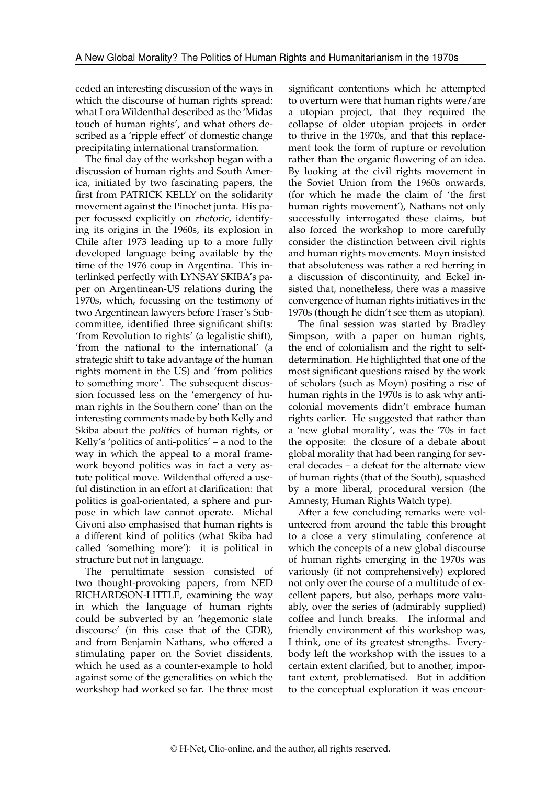ceded an interesting discussion of the ways in which the discourse of human rights spread: what Lora Wildenthal described as the 'Midas touch of human rights', and what others described as a 'ripple effect' of domestic change precipitating international transformation.

The final day of the workshop began with a discussion of human rights and South America, initiated by two fascinating papers, the first from PATRICK KELLY on the solidarity movement against the Pinochet junta. His paper focussed explicitly on rhetoric, identifying its origins in the 1960s, its explosion in Chile after 1973 leading up to a more fully developed language being available by the time of the 1976 coup in Argentina. This interlinked perfectly with LYNSAY SKIBA's paper on Argentinean-US relations during the 1970s, which, focussing on the testimony of two Argentinean lawyers before Fraser's Subcommittee, identified three significant shifts: 'from Revolution to rights' (a legalistic shift), 'from the national to the international' (a strategic shift to take advantage of the human rights moment in the US) and 'from politics to something more'. The subsequent discussion focussed less on the 'emergency of human rights in the Southern cone' than on the interesting comments made by both Kelly and Skiba about the politics of human rights, or Kelly's 'politics of anti-politics' – a nod to the way in which the appeal to a moral framework beyond politics was in fact a very astute political move. Wildenthal offered a useful distinction in an effort at clarification: that politics is goal-orientated, a sphere and purpose in which law cannot operate. Michal Givoni also emphasised that human rights is a different kind of politics (what Skiba had called 'something more'): it is political in structure but not in language.

The penultimate session consisted of two thought-provoking papers, from NED RICHARDSON-LITTLE, examining the way in which the language of human rights could be subverted by an 'hegemonic state discourse' (in this case that of the GDR), and from Benjamin Nathans, who offered a stimulating paper on the Soviet dissidents, which he used as a counter-example to hold against some of the generalities on which the workshop had worked so far. The three most significant contentions which he attempted to overturn were that human rights were/are a utopian project, that they required the collapse of older utopian projects in order to thrive in the 1970s, and that this replacement took the form of rupture or revolution rather than the organic flowering of an idea. By looking at the civil rights movement in the Soviet Union from the 1960s onwards, (for which he made the claim of 'the first human rights movement'), Nathans not only successfully interrogated these claims, but also forced the workshop to more carefully consider the distinction between civil rights and human rights movements. Moyn insisted that absoluteness was rather a red herring in a discussion of discontinuity, and Eckel insisted that, nonetheless, there was a massive convergence of human rights initiatives in the 1970s (though he didn't see them as utopian).

The final session was started by Bradley Simpson, with a paper on human rights, the end of colonialism and the right to selfdetermination. He highlighted that one of the most significant questions raised by the work of scholars (such as Moyn) positing a rise of human rights in the 1970s is to ask why anticolonial movements didn't embrace human rights earlier. He suggested that rather than a 'new global morality', was the '70s in fact the opposite: the closure of a debate about global morality that had been ranging for several decades – a defeat for the alternate view of human rights (that of the South), squashed by a more liberal, procedural version (the Amnesty, Human Rights Watch type).

After a few concluding remarks were volunteered from around the table this brought to a close a very stimulating conference at which the concepts of a new global discourse of human rights emerging in the 1970s was variously (if not comprehensively) explored not only over the course of a multitude of excellent papers, but also, perhaps more valuably, over the series of (admirably supplied) coffee and lunch breaks. The informal and friendly environment of this workshop was, I think, one of its greatest strengths. Everybody left the workshop with the issues to a certain extent clarified, but to another, important extent, problematised. But in addition to the conceptual exploration it was encour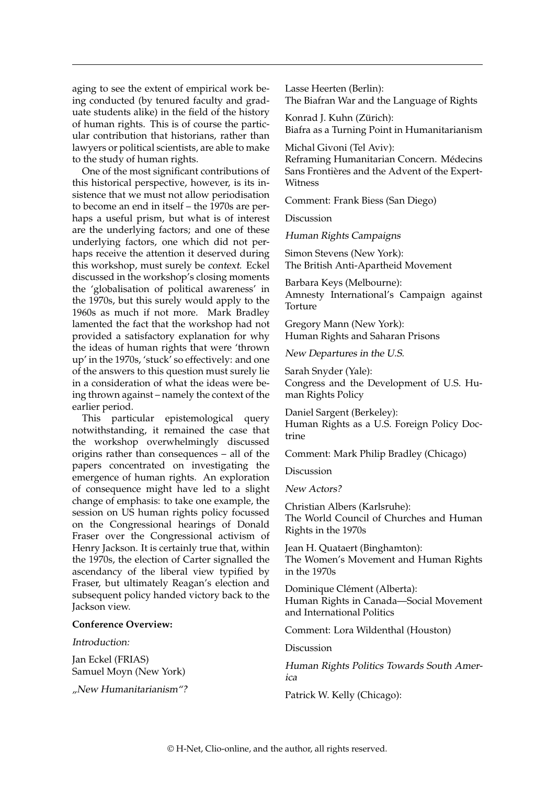aging to see the extent of empirical work being conducted (by tenured faculty and graduate students alike) in the field of the history of human rights. This is of course the particular contribution that historians, rather than lawyers or political scientists, are able to make to the study of human rights.

One of the most significant contributions of this historical perspective, however, is its insistence that we must not allow periodisation to become an end in itself – the 1970s are perhaps a useful prism, but what is of interest are the underlying factors; and one of these underlying factors, one which did not perhaps receive the attention it deserved during this workshop, must surely be context. Eckel discussed in the workshop's closing moments the 'globalisation of political awareness' in the 1970s, but this surely would apply to the 1960s as much if not more. Mark Bradley lamented the fact that the workshop had not provided a satisfactory explanation for why the ideas of human rights that were 'thrown up' in the 1970s, 'stuck' so effectively: and one of the answers to this question must surely lie in a consideration of what the ideas were being thrown against – namely the context of the earlier period.

This particular epistemological query notwithstanding, it remained the case that the workshop overwhelmingly discussed origins rather than consequences – all of the papers concentrated on investigating the emergence of human rights. An exploration of consequence might have led to a slight change of emphasis: to take one example, the session on US human rights policy focussed on the Congressional hearings of Donald Fraser over the Congressional activism of Henry Jackson. It is certainly true that, within the 1970s, the election of Carter signalled the ascendancy of the liberal view typified by Fraser, but ultimately Reagan's election and subsequent policy handed victory back to the Jackson view.

## **Conference Overview:**

## Introduction:

Jan Eckel (FRIAS) Samuel Moyn (New York)

"New Humanitarianism"?

Lasse Heerten (Berlin): The Biafran War and the Language of Rights

Konrad J. Kuhn (Zürich): Biafra as a Turning Point in Humanitarianism

Michal Givoni (Tel Aviv): Reframing Humanitarian Concern. Médecins Sans Frontières and the Advent of the Expert-Witness

Comment: Frank Biess (San Diego)

Discussion

Human Rights Campaigns

Simon Stevens (New York): The British Anti-Apartheid Movement

Barbara Keys (Melbourne): Amnesty International's Campaign against Torture

Gregory Mann (New York): Human Rights and Saharan Prisons

New Departures in the U.S.

Sarah Snyder (Yale): Congress and the Development of U.S. Human Rights Policy

Daniel Sargent (Berkeley): Human Rights as a U.S. Foreign Policy Doctrine

Comment: Mark Philip Bradley (Chicago)

Discussion

New Actors?

Christian Albers (Karlsruhe): The World Council of Churches and Human Rights in the 1970s

Jean H. Quataert (Binghamton): The Women's Movement and Human Rights in the 1970s

Dominique Clément (Alberta): Human Rights in Canada—Social Movement and International Politics

Comment: Lora Wildenthal (Houston)

Discussion

Human Rights Politics Towards South America

Patrick W. Kelly (Chicago):